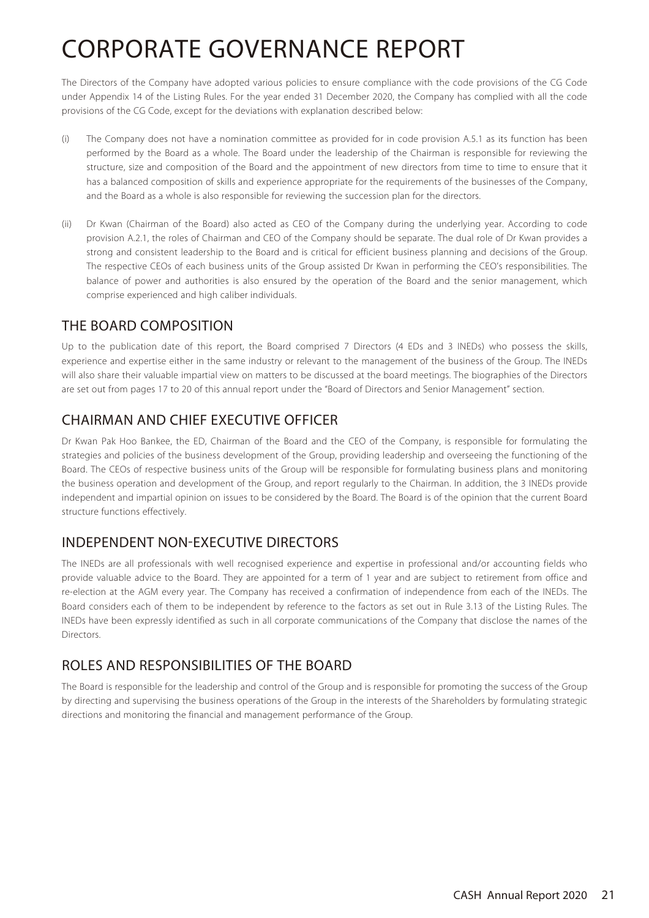The Directors of the Company have adopted various policies to ensure compliance with the code provisions of the CG Code under Appendix 14 of the Listing Rules. For the year ended 31 December 2020, the Company has complied with all the code provisions of the CG Code, except for the deviations with explanation described below:

- (i) The Company does not have a nomination committee as provided for in code provision A.5.1 as its function has been performed by the Board as a whole. The Board under the leadership of the Chairman is responsible for reviewing the structure, size and composition of the Board and the appointment of new directors from time to time to ensure that it has a balanced composition of skills and experience appropriate for the requirements of the businesses of the Company, and the Board as a whole is also responsible for reviewing the succession plan for the directors.
- (ii) Dr Kwan (Chairman of the Board) also acted as CEO of the Company during the underlying year. According to code provision A.2.1, the roles of Chairman and CEO of the Company should be separate. The dual role of Dr Kwan provides a strong and consistent leadership to the Board and is critical for efficient business planning and decisions of the Group. The respective CEOs of each business units of the Group assisted Dr Kwan in performing the CEO's responsibilities. The balance of power and authorities is also ensured by the operation of the Board and the senior management, which comprise experienced and high caliber individuals.

## THE BOARD COMPOSITION

Up to the publication date of this report, the Board comprised 7 Directors (4 EDs and 3 INEDs) who possess the skills, experience and expertise either in the same industry or relevant to the management of the business of the Group. The INEDs will also share their valuable impartial view on matters to be discussed at the board meetings. The biographies of the Directors are set out from pages 17 to 20 of this annual report under the "Board of Directors and Senior Management" section.

## CHAIRMAN AND CHIEF EXECUTIVE OFFICER

Dr Kwan Pak Hoo Bankee, the ED, Chairman of the Board and the CEO of the Company, is responsible for formulating the strategies and policies of the business development of the Group, providing leadership and overseeing the functioning of the Board. The CEOs of respective business units of the Group will be responsible for formulating business plans and monitoring the business operation and development of the Group, and report regularly to the Chairman. In addition, the 3 INEDs provide independent and impartial opinion on issues to be considered by the Board. The Board is of the opinion that the current Board structure functions effectively.

## INDEPENDENT NON-EXECUTIVE DIRECTORS

The INEDs are all professionals with well recognised experience and expertise in professional and/or accounting fields who provide valuable advice to the Board. They are appointed for a term of 1 year and are subject to retirement from office and re-election at the AGM every year. The Company has received a confirmation of independence from each of the INEDs. The Board considers each of them to be independent by reference to the factors as set out in Rule 3.13 of the Listing Rules. The INEDs have been expressly identified as such in all corporate communications of the Company that disclose the names of the Directors.

## ROLES AND RESPONSIBILITIES OF THE BOARD

The Board is responsible for the leadership and control of the Group and is responsible for promoting the success of the Group by directing and supervising the business operations of the Group in the interests of the Shareholders by formulating strategic directions and monitoring the financial and management performance of the Group.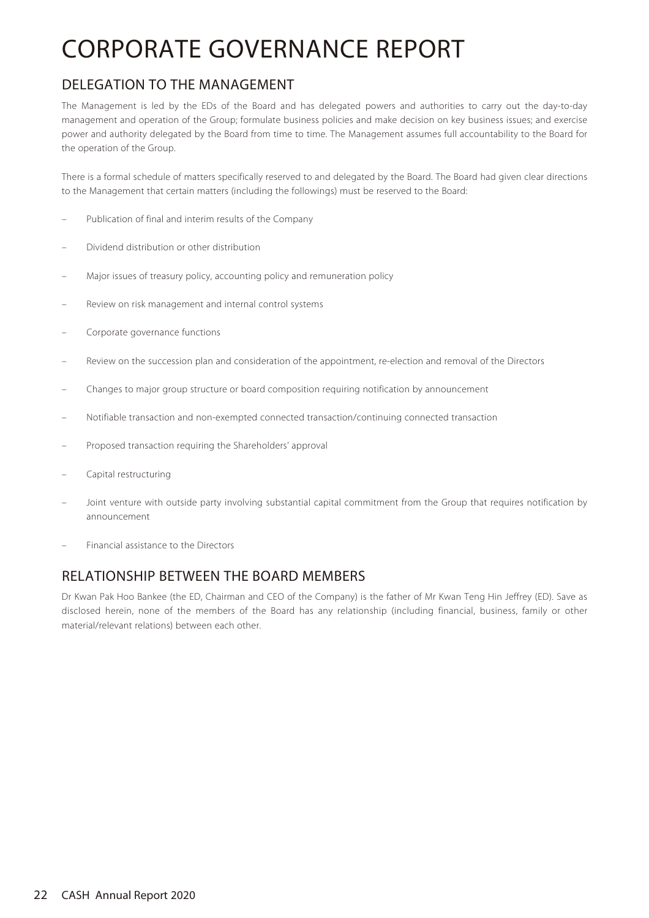## DELEGATION TO THE MANAGEMENT

The Management is led by the EDs of the Board and has delegated powers and authorities to carry out the day-to-day management and operation of the Group; formulate business policies and make decision on key business issues; and exercise power and authority delegated by the Board from time to time. The Management assumes full accountability to the Board for the operation of the Group.

There is a formal schedule of matters specifically reserved to and delegated by the Board. The Board had given clear directions to the Management that certain matters (including the followings) must be reserved to the Board:

- Publication of final and interim results of the Company
- Dividend distribution or other distribution
- Major issues of treasury policy, accounting policy and remuneration policy
- Review on risk management and internal control systems
- Corporate governance functions
- Review on the succession plan and consideration of the appointment, re-election and removal of the Directors
- Changes to major group structure or board composition requiring notification by announcement
- Notifiable transaction and non-exempted connected transaction/continuing connected transaction
- Proposed transaction requiring the Shareholders' approval
- Capital restructuring
- Joint venture with outside party involving substantial capital commitment from the Group that requires notification by announcement
- Financial assistance to the Directors

## RELATIONSHIP BETWEEN THE BOARD MEMBERS

Dr Kwan Pak Hoo Bankee (the ED, Chairman and CEO of the Company) is the father of Mr Kwan Teng Hin Jeffrey (ED). Save as disclosed herein, none of the members of the Board has any relationship (including financial, business, family or other material/relevant relations) between each other.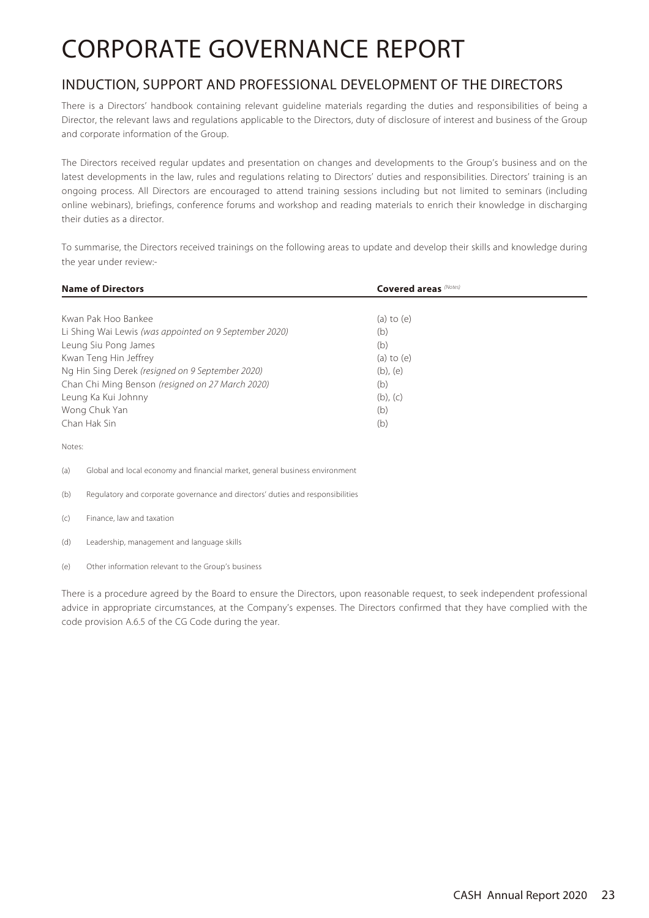## INDUCTION, SUPPORT AND PROFESSIONAL DEVELOPMENT OF THE DIRECTORS

There is a Directors' handbook containing relevant guideline materials regarding the duties and responsibilities of being a Director, the relevant laws and regulations applicable to the Directors, duty of disclosure of interest and business of the Group and corporate information of the Group.

The Directors received regular updates and presentation on changes and developments to the Group's business and on the latest developments in the law, rules and regulations relating to Directors' duties and responsibilities. Directors' training is an ongoing process. All Directors are encouraged to attend training sessions including but not limited to seminars (including online webinars), briefings, conference forums and workshop and reading materials to enrich their knowledge in discharging their duties as a director.

To summarise, the Directors received trainings on the following areas to update and develop their skills and knowledge during the year under review:-

| <b>Name of Directors</b>                                                           | <b>Covered areas</b> (Notes) |  |  |
|------------------------------------------------------------------------------------|------------------------------|--|--|
|                                                                                    |                              |  |  |
| Kwan Pak Hoo Bankee                                                                | (a) to $(e)$                 |  |  |
| Li Shing Wai Lewis (was appointed on 9 September 2020)                             | (b)                          |  |  |
| Leung Siu Pong James                                                               | (b)                          |  |  |
| Kwan Teng Hin Jeffrey                                                              | $(a)$ to $(e)$               |  |  |
| Ng Hin Sing Derek (resigned on 9 September 2020)                                   | $(b)$ , $(e)$                |  |  |
| Chan Chi Ming Benson (resigned on 27 March 2020)                                   | (b)                          |  |  |
| Leung Ka Kui Johnny                                                                | $(b)$ , $(c)$                |  |  |
| Wong Chuk Yan                                                                      | (b)                          |  |  |
| Chan Hak Sin                                                                       | (b)                          |  |  |
| Notes:                                                                             |                              |  |  |
| (a)<br>Global and local economy and financial market, general business environment |                              |  |  |

(b) Regulatory and corporate governance and directors' duties and responsibilities

- (c) Finance, law and taxation
- (d) Leadership, management and language skills
- (e) Other information relevant to the Group's business

There is a procedure agreed by the Board to ensure the Directors, upon reasonable request, to seek independent professional advice in appropriate circumstances, at the Company's expenses. The Directors confirmed that they have complied with the code provision A.6.5 of the CG Code during the year.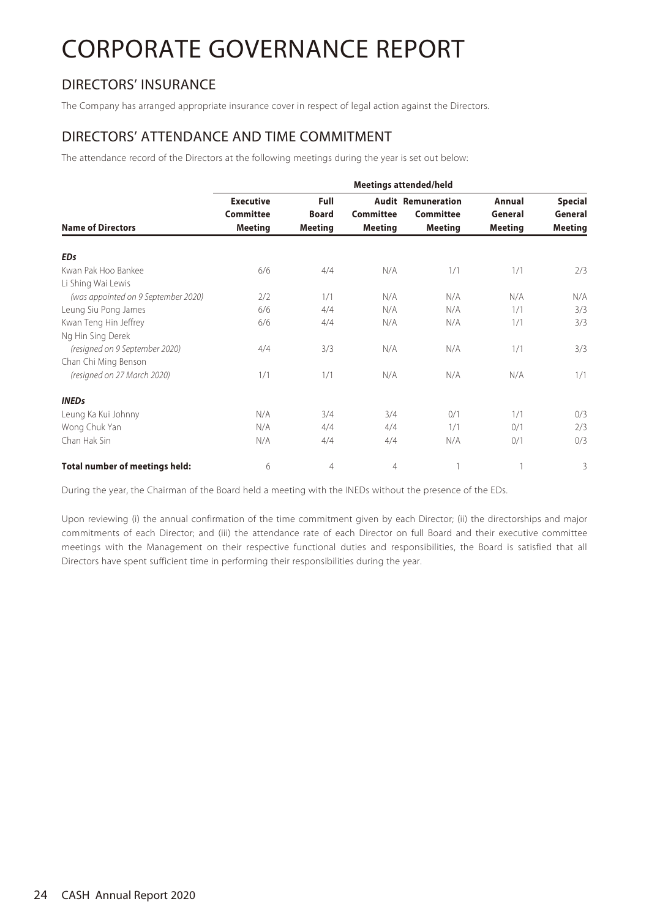## DIRECTORS' INSURANCE

The Company has arranged appropriate insurance cover in respect of legal action against the Directors.

### DIRECTORS' ATTENDANCE AND TIME COMMITMENT

The attendance record of the Directors at the following meetings during the year is set out below:

|                                       | <b>Meetings attended/held</b>                          |                                               |                                    |                                                          |                                     |                                             |  |
|---------------------------------------|--------------------------------------------------------|-----------------------------------------------|------------------------------------|----------------------------------------------------------|-------------------------------------|---------------------------------------------|--|
| <b>Name of Directors</b>              | <b>Executive</b><br><b>Committee</b><br><b>Meeting</b> | <b>Full</b><br><b>Board</b><br><b>Meeting</b> | <b>Committee</b><br><b>Meeting</b> | <b>Audit Remuneration</b><br>Committee<br><b>Meeting</b> | Annual<br>General<br><b>Meeting</b> | <b>Special</b><br>General<br><b>Meeting</b> |  |
| <b>EDs</b>                            |                                                        |                                               |                                    |                                                          |                                     |                                             |  |
| Kwan Pak Hoo Bankee                   | 6/6                                                    | 4/4                                           | N/A                                | 1/1                                                      | 1/1                                 | 2/3                                         |  |
| Li Shing Wai Lewis                    |                                                        |                                               |                                    |                                                          |                                     |                                             |  |
| (was appointed on 9 September 2020)   | 7/2                                                    | 1/1                                           | N/A                                | N/A                                                      | N/A                                 | N/A                                         |  |
| Leung Siu Pong James                  | 6/6                                                    | 4/4                                           | N/A                                | N/A                                                      | 1/1                                 | 3/3                                         |  |
| Kwan Teng Hin Jeffrey                 | 6/6                                                    | 4/4                                           | N/A                                | N/A                                                      | 1/1                                 | 3/3                                         |  |
| Ng Hin Sing Derek                     |                                                        |                                               |                                    |                                                          |                                     |                                             |  |
| (resigned on 9 September 2020)        | 4/4                                                    | 3/3                                           | N/A                                | N/A                                                      | 1/1                                 | 3/3                                         |  |
| Chan Chi Ming Benson                  |                                                        |                                               |                                    |                                                          |                                     |                                             |  |
| (resigned on 27 March 2020)           | 1/1                                                    | 1/1                                           | N/A                                | N/A                                                      | N/A                                 | 1/1                                         |  |
| <b>INEDs</b>                          |                                                        |                                               |                                    |                                                          |                                     |                                             |  |
| Leung Ka Kui Johnny                   | N/A                                                    | 3/4                                           | 3/4                                | 0/1                                                      | 1/1                                 | 0/3                                         |  |
| Wong Chuk Yan                         | N/A                                                    | 4/4                                           | 4/4                                | 1/1                                                      | 0/1                                 | 2/3                                         |  |
| Chan Hak Sin                          | N/A                                                    | 4/4                                           | 4/4                                | N/A                                                      | 0/1                                 | 0/3                                         |  |
| <b>Total number of meetings held:</b> | 6                                                      | $\overline{4}$                                | $\overline{4}$                     |                                                          |                                     | 3                                           |  |

During the year, the Chairman of the Board held a meeting with the INEDs without the presence of the EDs.

Upon reviewing (i) the annual confirmation of the time commitment given by each Director; (ii) the directorships and major commitments of each Director; and (iii) the attendance rate of each Director on full Board and their executive committee meetings with the Management on their respective functional duties and responsibilities, the Board is satisfied that all Directors have spent sufficient time in performing their responsibilities during the year.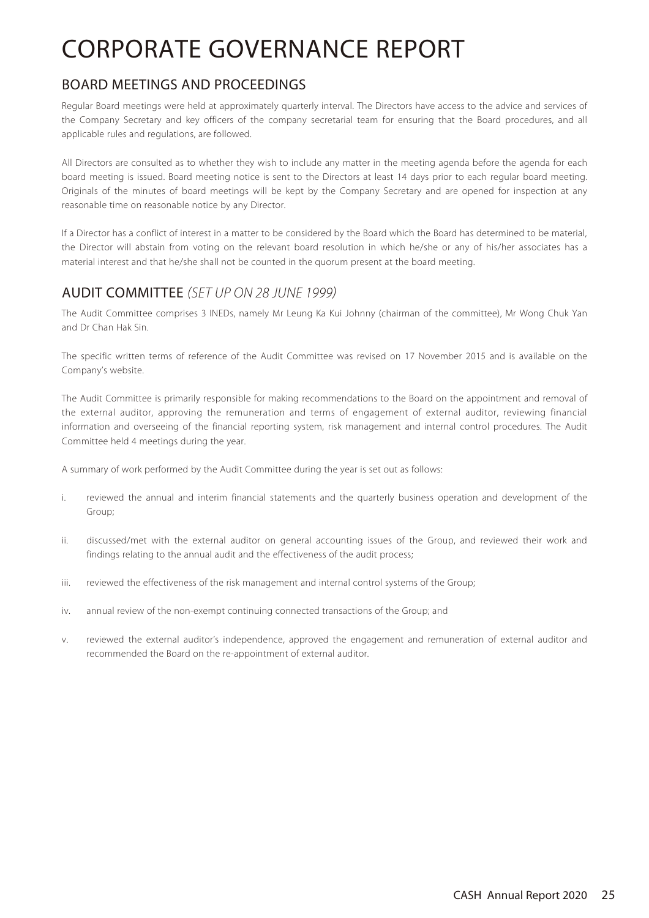### BOARD MEETINGS AND PROCEEDINGS

Regular Board meetings were held at approximately quarterly interval. The Directors have access to the advice and services of the Company Secretary and key officers of the company secretarial team for ensuring that the Board procedures, and all applicable rules and regulations, are followed.

All Directors are consulted as to whether they wish to include any matter in the meeting agenda before the agenda for each board meeting is issued. Board meeting notice is sent to the Directors at least 14 days prior to each regular board meeting. Originals of the minutes of board meetings will be kept by the Company Secretary and are opened for inspection at any reasonable time on reasonable notice by any Director.

If a Director has a conflict of interest in a matter to be considered by the Board which the Board has determined to be material, the Director will abstain from voting on the relevant board resolution in which he/she or any of his/her associates has a material interest and that he/she shall not be counted in the quorum present at the board meeting.

## AUDIT COMMITTEE (SET UP ON 28 JUNE 1999)

The Audit Committee comprises 3 INEDs, namely Mr Leung Ka Kui Johnny (chairman of the committee), Mr Wong Chuk Yan and Dr Chan Hak Sin.

The specific written terms of reference of the Audit Committee was revised on 17 November 2015 and is available on the Company's website.

The Audit Committee is primarily responsible for making recommendations to the Board on the appointment and removal of the external auditor, approving the remuneration and terms of engagement of external auditor, reviewing financial information and overseeing of the financial reporting system, risk management and internal control procedures. The Audit Committee held 4 meetings during the year.

A summary of work performed by the Audit Committee during the year is set out as follows:

- i. reviewed the annual and interim financial statements and the quarterly business operation and development of the Group;
- ii. discussed/met with the external auditor on general accounting issues of the Group, and reviewed their work and findings relating to the annual audit and the effectiveness of the audit process;
- iii. reviewed the effectiveness of the risk management and internal control systems of the Group;
- iv. annual review of the non-exempt continuing connected transactions of the Group; and
- v. reviewed the external auditor's independence, approved the engagement and remuneration of external auditor and recommended the Board on the re-appointment of external auditor.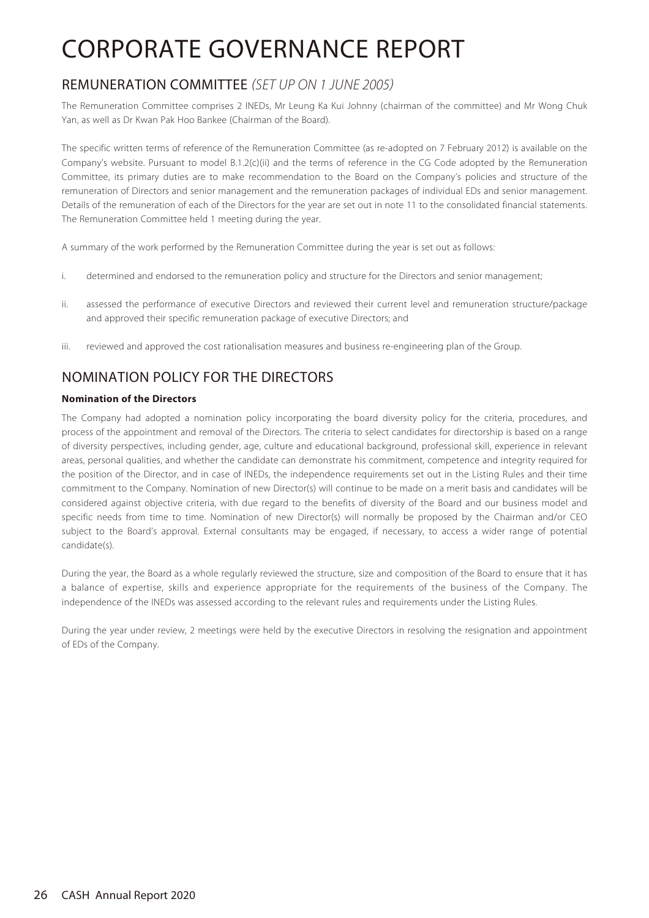## REMUNERATION COMMITTEE (SET UP ON 1 JUNE 2005)

The Remuneration Committee comprises 2 INEDs, Mr Leung Ka Kui Johnny (chairman of the committee) and Mr Wong Chuk Yan, as well as Dr Kwan Pak Hoo Bankee (Chairman of the Board).

The specific written terms of reference of the Remuneration Committee (as re-adopted on 7 February 2012) is available on the Company's website. Pursuant to model B.1.2(c)(ii) and the terms of reference in the CG Code adopted by the Remuneration Committee, its primary duties are to make recommendation to the Board on the Company's policies and structure of the remuneration of Directors and senior management and the remuneration packages of individual EDs and senior management. Details of the remuneration of each of the Directors for the year are set out in note 11 to the consolidated financial statements. The Remuneration Committee held 1 meeting during the year.

A summary of the work performed by the Remuneration Committee during the year is set out as follows:

- i. determined and endorsed to the remuneration policy and structure for the Directors and senior management;
- ii. assessed the performance of executive Directors and reviewed their current level and remuneration structure/package and approved their specific remuneration package of executive Directors; and
- iii. reviewed and approved the cost rationalisation measures and business re-engineering plan of the Group.

## NOMINATION POLICY FOR THE DIRECTORS

### **Nomination of the Directors**

The Company had adopted a nomination policy incorporating the board diversity policy for the criteria, procedures, and process of the appointment and removal of the Directors. The criteria to select candidates for directorship is based on a range of diversity perspectives, including gender, age, culture and educational background, professional skill, experience in relevant areas, personal qualities, and whether the candidate can demonstrate his commitment, competence and integrity required for the position of the Director, and in case of INEDs, the independence requirements set out in the Listing Rules and their time commitment to the Company. Nomination of new Director(s) will continue to be made on a merit basis and candidates will be considered against objective criteria, with due regard to the benefits of diversity of the Board and our business model and specific needs from time to time. Nomination of new Director(s) will normally be proposed by the Chairman and/or CEO subject to the Board's approval. External consultants may be engaged, if necessary, to access a wider range of potential candidate(s).

During the year, the Board as a whole regularly reviewed the structure, size and composition of the Board to ensure that it has a balance of expertise, skills and experience appropriate for the requirements of the business of the Company. The independence of the INEDs was assessed according to the relevant rules and requirements under the Listing Rules.

During the year under review, 2 meetings were held by the executive Directors in resolving the resignation and appointment of EDs of the Company.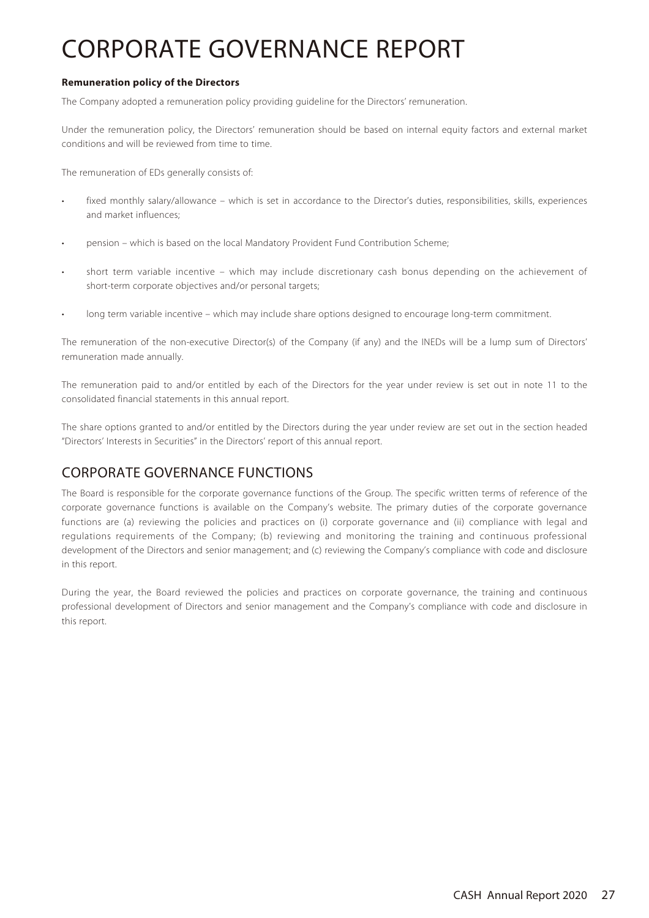### **Remuneration policy of the Directors**

The Company adopted a remuneration policy providing guideline for the Directors' remuneration.

Under the remuneration policy, the Directors' remuneration should be based on internal equity factors and external market conditions and will be reviewed from time to time.

The remuneration of EDs generally consists of:

- fixed monthly salary/allowance which is set in accordance to the Director's duties, responsibilities, skills, experiences and market influences;
- pension which is based on the local Mandatory Provident Fund Contribution Scheme;
- short term variable incentive which may include discretionary cash bonus depending on the achievement of short-term corporate objectives and/or personal targets;
- long term variable incentive which may include share options designed to encourage long-term commitment.

The remuneration of the non-executive Director(s) of the Company (if any) and the INEDs will be a lump sum of Directors' remuneration made annually.

The remuneration paid to and/or entitled by each of the Directors for the year under review is set out in note 11 to the consolidated financial statements in this annual report.

The share options granted to and/or entitled by the Directors during the year under review are set out in the section headed "Directors' Interests in Securities" in the Directors' report of this annual report.

### CORPORATE GOVERNANCE FUNCTIONS

The Board is responsible for the corporate governance functions of the Group. The specific written terms of reference of the corporate governance functions is available on the Company's website. The primary duties of the corporate governance functions are (a) reviewing the policies and practices on (i) corporate governance and (ii) compliance with legal and regulations requirements of the Company; (b) reviewing and monitoring the training and continuous professional development of the Directors and senior management; and (c) reviewing the Company's compliance with code and disclosure in this report.

During the year, the Board reviewed the policies and practices on corporate governance, the training and continuous professional development of Directors and senior management and the Company's compliance with code and disclosure in this report.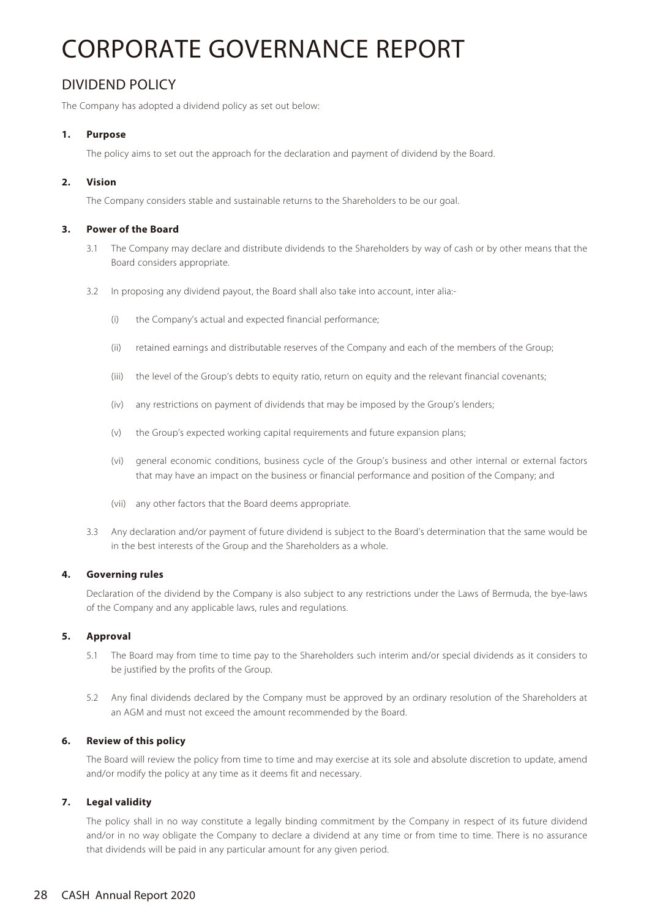## DIVIDEND POLICY

The Company has adopted a dividend policy as set out below:

### **1. Purpose**

The policy aims to set out the approach for the declaration and payment of dividend by the Board.

#### **2. Vision**

The Company considers stable and sustainable returns to the Shareholders to be our goal.

#### **3. Power of the Board**

- 3.1 The Company may declare and distribute dividends to the Shareholders by way of cash or by other means that the Board considers appropriate.
- 3.2 In proposing any dividend payout, the Board shall also take into account, inter alia:-
	- (i) the Company's actual and expected financial performance;
	- (ii) retained earnings and distributable reserves of the Company and each of the members of the Group;
	- (iii) the level of the Group's debts to equity ratio, return on equity and the relevant financial covenants;
	- (iv) any restrictions on payment of dividends that may be imposed by the Group's lenders;
	- (v) the Group's expected working capital requirements and future expansion plans;
	- (vi) general economic conditions, business cycle of the Group's business and other internal or external factors that may have an impact on the business or financial performance and position of the Company; and
	- (vii) any other factors that the Board deems appropriate.
- 3.3 Any declaration and/or payment of future dividend is subject to the Board's determination that the same would be in the best interests of the Group and the Shareholders as a whole.

#### **4. Governing rules**

Declaration of the dividend by the Company is also subject to any restrictions under the Laws of Bermuda, the bye-laws of the Company and any applicable laws, rules and regulations.

#### **5. Approval**

- 5.1 The Board may from time to time pay to the Shareholders such interim and/or special dividends as it considers to be justified by the profits of the Group.
- 5.2 Any final dividends declared by the Company must be approved by an ordinary resolution of the Shareholders at an AGM and must not exceed the amount recommended by the Board.

#### **6. Review of this policy**

The Board will review the policy from time to time and may exercise at its sole and absolute discretion to update, amend and/or modify the policy at any time as it deems fit and necessary.

### **7. Legal validity**

The policy shall in no way constitute a legally binding commitment by the Company in respect of its future dividend and/or in no way obligate the Company to declare a dividend at any time or from time to time. There is no assurance that dividends will be paid in any particular amount for any given period.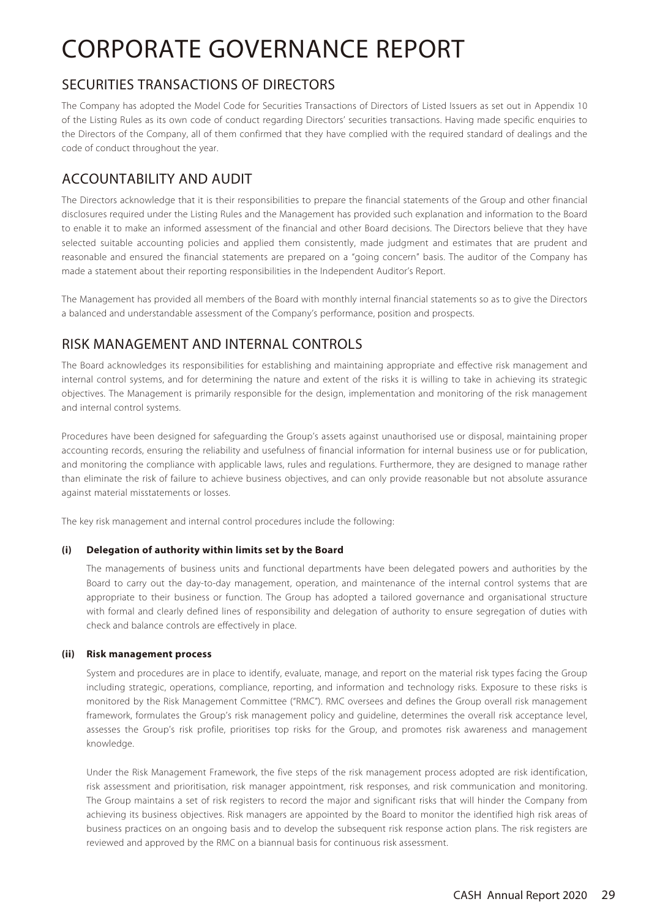### SECURITIES TRANSACTIONS OF DIRECTORS

The Company has adopted the Model Code for Securities Transactions of Directors of Listed Issuers as set out in Appendix 10 of the Listing Rules as its own code of conduct regarding Directors' securities transactions. Having made specific enquiries to the Directors of the Company, all of them confirmed that they have complied with the required standard of dealings and the code of conduct throughout the year.

## ACCOUNTABILITY AND AUDIT

The Directors acknowledge that it is their responsibilities to prepare the financial statements of the Group and other financial disclosures required under the Listing Rules and the Management has provided such explanation and information to the Board to enable it to make an informed assessment of the financial and other Board decisions. The Directors believe that they have selected suitable accounting policies and applied them consistently, made judgment and estimates that are prudent and reasonable and ensured the financial statements are prepared on a "going concern" basis. The auditor of the Company has made a statement about their reporting responsibilities in the Independent Auditor's Report.

The Management has provided all members of the Board with monthly internal financial statements so as to give the Directors a balanced and understandable assessment of the Company's performance, position and prospects.

## RISK MANAGEMENT AND INTERNAL CONTROLS

The Board acknowledges its responsibilities for establishing and maintaining appropriate and effective risk management and internal control systems, and for determining the nature and extent of the risks it is willing to take in achieving its strategic objectives. The Management is primarily responsible for the design, implementation and monitoring of the risk management and internal control systems.

Procedures have been designed for safeguarding the Group's assets against unauthorised use or disposal, maintaining proper accounting records, ensuring the reliability and usefulness of financial information for internal business use or for publication, and monitoring the compliance with applicable laws, rules and regulations. Furthermore, they are designed to manage rather than eliminate the risk of failure to achieve business objectives, and can only provide reasonable but not absolute assurance against material misstatements or losses.

The key risk management and internal control procedures include the following:

### **(i) Delegation of authority within limits set by the Board**

The managements of business units and functional departments have been delegated powers and authorities by the Board to carry out the day-to-day management, operation, and maintenance of the internal control systems that are appropriate to their business or function. The Group has adopted a tailored governance and organisational structure with formal and clearly defined lines of responsibility and delegation of authority to ensure segregation of duties with check and balance controls are effectively in place.

### **(ii) Risk management process**

System and procedures are in place to identify, evaluate, manage, and report on the material risk types facing the Group including strategic, operations, compliance, reporting, and information and technology risks. Exposure to these risks is monitored by the Risk Management Committee ("RMC"). RMC oversees and defines the Group overall risk management framework, formulates the Group's risk management policy and guideline, determines the overall risk acceptance level, assesses the Group's risk profile, prioritises top risks for the Group, and promotes risk awareness and management knowledge.

Under the Risk Management Framework, the five steps of the risk management process adopted are risk identification, risk assessment and prioritisation, risk manager appointment, risk responses, and risk communication and monitoring. The Group maintains a set of risk registers to record the major and significant risks that will hinder the Company from achieving its business objectives. Risk managers are appointed by the Board to monitor the identified high risk areas of business practices on an ongoing basis and to develop the subsequent risk response action plans. The risk registers are reviewed and approved by the RMC on a biannual basis for continuous risk assessment.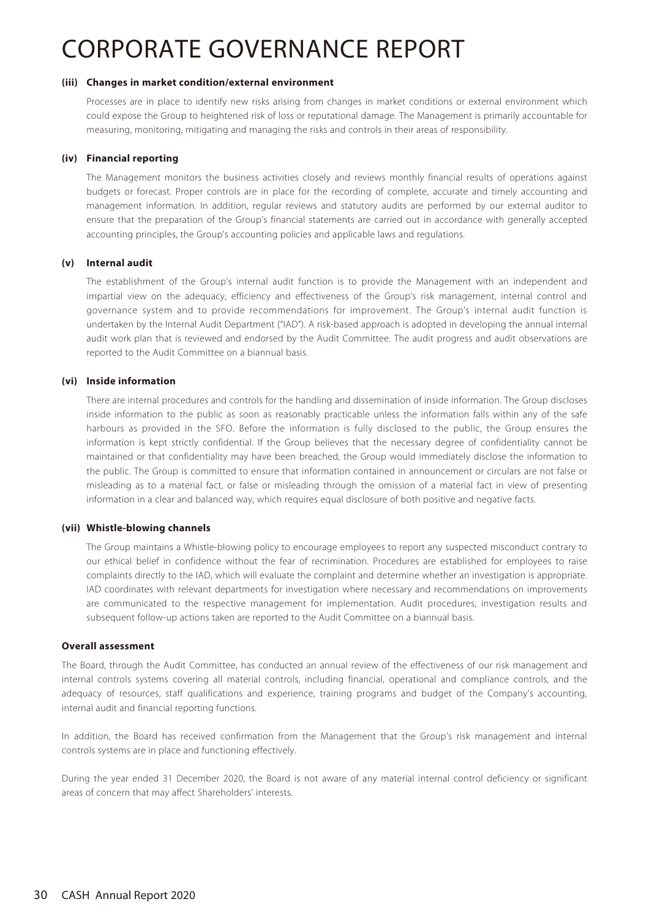#### **(iii) Changes in market condition/external environment**

Processes are in place to identify new risks arising from changes in market conditions or external environment which could expose the Group to heightened risk of loss or reputational damage. The Management is primarily accountable for measuring, monitoring, mitigating and managing the risks and controls in their areas of responsibility.

#### **(iv) Financial reporting**

The Management monitors the business activities closely and reviews monthly financial results of operations against budgets or forecast. Proper controls are in place for the recording of complete, accurate and timely accounting and management information. In addition, regular reviews and statutory audits are performed by our external auditor to ensure that the preparation of the Group's financial statements are carried out in accordance with generally accepted accounting principles, the Group's accounting policies and applicable laws and regulations.

#### **(v) Internal audit**

The establishment of the Group's internal audit function is to provide the Management with an independent and impartial view on the adequacy, efficiency and effectiveness of the Group's risk management, internal control and governance system and to provide recommendations for improvement. The Group's internal audit function is undertaken by the Internal Audit Department ("IAD"). A risk-based approach is adopted in developing the annual internal audit work plan that is reviewed and endorsed by the Audit Committee. The audit progress and audit observations are reported to the Audit Committee on a biannual basis.

#### **(vi) Inside information**

There are internal procedures and controls for the handling and dissemination of inside information. The Group discloses inside information to the public as soon as reasonably practicable unless the information falls within any of the safe harbours as provided in the SFO. Before the information is fully disclosed to the public, the Group ensures the information is kept strictly confidential. If the Group believes that the necessary degree of confidentiality cannot be maintained or that confidentiality may have been breached, the Group would immediately disclose the information to the public. The Group is committed to ensure that information contained in announcement or circulars are not false or misleading as to a material fact, or false or misleading through the omission of a material fact in view of presenting information in a clear and balanced way, which requires equal disclosure of both positive and negative facts.

#### **(vii) Whistle-blowing channels**

The Group maintains a Whistle-blowing policy to encourage employees to report any suspected misconduct contrary to our ethical belief in confidence without the fear of recrimination. Procedures are established for employees to raise complaints directly to the IAD, which will evaluate the complaint and determine whether an investigation is appropriate. IAD coordinates with relevant departments for investigation where necessary and recommendations on improvements are communicated to the respective management for implementation. Audit procedures, investigation results and subsequent follow-up actions taken are reported to the Audit Committee on a biannual basis.

#### **Overall assessment**

The Board, through the Audit Committee, has conducted an annual review of the effectiveness of our risk management and internal controls systems covering all material controls, including financial, operational and compliance controls, and the adequacy of resources, staff qualifications and experience, training programs and budget of the Company's accounting, internal audit and financial reporting functions.

In addition, the Board has received confirmation from the Management that the Group's risk management and internal controls systems are in place and functioning effectively.

During the year ended 31 December 2020, the Board is not aware of any material internal control deficiency or significant areas of concern that may affect Shareholders' interests.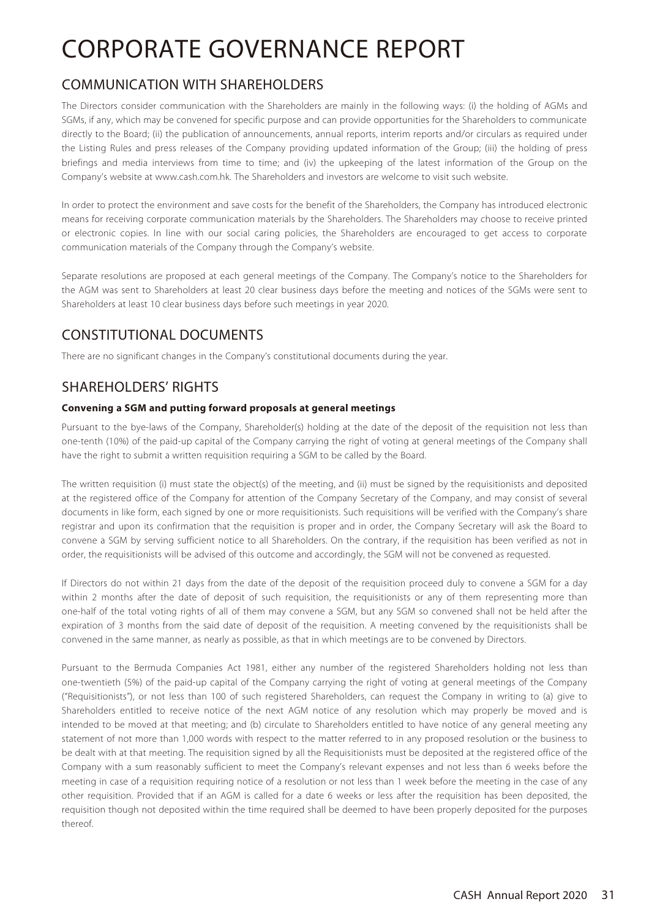## COMMUNICATION WITH SHAREHOLDERS

The Directors consider communication with the Shareholders are mainly in the following ways: (i) the holding of AGMs and SGMs, if any, which may be convened for specific purpose and can provide opportunities for the Shareholders to communicate directly to the Board; (ii) the publication of announcements, annual reports, interim reports and/or circulars as required under the Listing Rules and press releases of the Company providing updated information of the Group; (iii) the holding of press briefings and media interviews from time to time; and (iv) the upkeeping of the latest information of the Group on the Company's website at www.cash.com.hk. The Shareholders and investors are welcome to visit such website.

In order to protect the environment and save costs for the benefit of the Shareholders, the Company has introduced electronic means for receiving corporate communication materials by the Shareholders. The Shareholders may choose to receive printed or electronic copies. In line with our social caring policies, the Shareholders are encouraged to get access to corporate communication materials of the Company through the Company's website.

Separate resolutions are proposed at each general meetings of the Company. The Company's notice to the Shareholders for the AGM was sent to Shareholders at least 20 clear business days before the meeting and notices of the SGMs were sent to Shareholders at least 10 clear business days before such meetings in year 2020.

## CONSTITUTIONAL DOCUMENTS

There are no significant changes in the Company's constitutional documents during the year.

## SHAREHOLDERS' RIGHTS

### **Convening a SGM and putting forward proposals at general meetings**

Pursuant to the bye-laws of the Company, Shareholder(s) holding at the date of the deposit of the requisition not less than one-tenth (10%) of the paid-up capital of the Company carrying the right of voting at general meetings of the Company shall have the right to submit a written requisition requiring a SGM to be called by the Board.

The written requisition (i) must state the object(s) of the meeting, and (ii) must be signed by the requisitionists and deposited at the registered office of the Company for attention of the Company Secretary of the Company, and may consist of several documents in like form, each signed by one or more requisitionists. Such requisitions will be verified with the Company's share registrar and upon its confirmation that the requisition is proper and in order, the Company Secretary will ask the Board to convene a SGM by serving sufficient notice to all Shareholders. On the contrary, if the requisition has been verified as not in order, the requisitionists will be advised of this outcome and accordingly, the SGM will not be convened as requested.

If Directors do not within 21 days from the date of the deposit of the requisition proceed duly to convene a SGM for a day within 2 months after the date of deposit of such requisition, the requisitionists or any of them representing more than one-half of the total voting rights of all of them may convene a SGM, but any SGM so convened shall not be held after the expiration of 3 months from the said date of deposit of the requisition. A meeting convened by the requisitionists shall be convened in the same manner, as nearly as possible, as that in which meetings are to be convened by Directors.

Pursuant to the Bermuda Companies Act 1981, either any number of the registered Shareholders holding not less than one-twentieth (5%) of the paid-up capital of the Company carrying the right of voting at general meetings of the Company ("Requisitionists"), or not less than 100 of such registered Shareholders, can request the Company in writing to (a) give to Shareholders entitled to receive notice of the next AGM notice of any resolution which may properly be moved and is intended to be moved at that meeting; and (b) circulate to Shareholders entitled to have notice of any general meeting any statement of not more than 1,000 words with respect to the matter referred to in any proposed resolution or the business to be dealt with at that meeting. The requisition signed by all the Requisitionists must be deposited at the registered office of the Company with a sum reasonably sufficient to meet the Company's relevant expenses and not less than 6 weeks before the meeting in case of a requisition requiring notice of a resolution or not less than 1 week before the meeting in the case of any other requisition. Provided that if an AGM is called for a date 6 weeks or less after the requisition has been deposited, the requisition though not deposited within the time required shall be deemed to have been properly deposited for the purposes thereof.